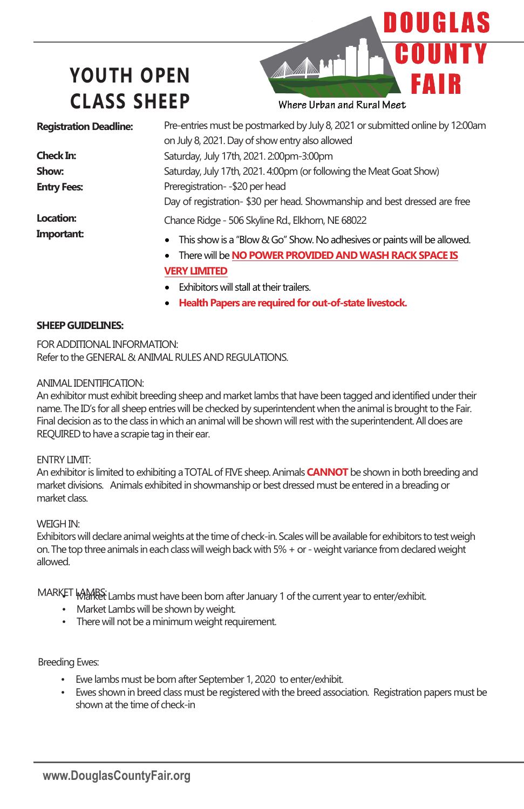# **YOUTH OPEN CLASS SHEEP**



Pre-entries must be postmarked by July 8, 2021 or submitted online by 12:00am on July 8, 2021. Day of show entry also allowed Saturday, July 17th, 2021. 2:00pm-3:00pm Saturday, July 17th, 2021. 4:00pm (or following the Meat Goat Show) Preregistration- -\$20 per head Day of registration- \$30 per head. Showmanship and best dressed are free Chance Ridge - 506 Skyline Rd., Elkhorn, NE 68022 **Registration Deadline: Check In: Show: Entry Fees: Location: Important:** This show is a "Blow & Go" Show. No adhesives or paints will be allowed. • There will be **NO POWER PROVIDED AND WASH RACK SPACE IS VERY LIMITED** • Exhibitors will stall at their trailers.

• **Health Papers are required for out-of-state livestock.**

## **SHEEP GUIDELINES:**

FOR ADDITIONAL INFORMATION: Refer to the GENERAL & ANIMAL RULES AND REGULATIONS.

## ANIMAL IDENTIFICATION:

An exhibitor must exhibit breeding sheep and market lambs that have been tagged andidentified under their name. The ID's for all sheep entries will be checked by superintendent when the animal isbrought to the Fair. Final decision as to the class in which an animal will be shown will rest with the superintendent. All does are REQUIRED to have a scrapie tag in their ear.

## ENTRY LIMIT:

An exhibitor is limited to exhibiting a TOTAL of FIVE sheep. Animals **CANNOT** be shown in both breeding and market divisions. Animals exhibited in showmanship or best dressed must be enteredin a breading or market class.

## WEIGH IN:

Exhibitors will declare animal weights at the time of check-in. Scales will be available for exhibitors totest weigh on. The top three animals in each class will weigh back with 5% + or - weight variance from declared weight allowed.

MARKET WARRS: Lambs must have been born after January 1 of the current year to enter/exhibit.

- Market Lambs will be shown by weight.
- There will not be a minimum weight requirement.

## Breeding Ewes:

- Ewe lambs must be born after September 1, 2020 to enter/exhibit.
- Ewes shown in breed class must be registered with the breed association. Registration papers must be shown at the time of check-in